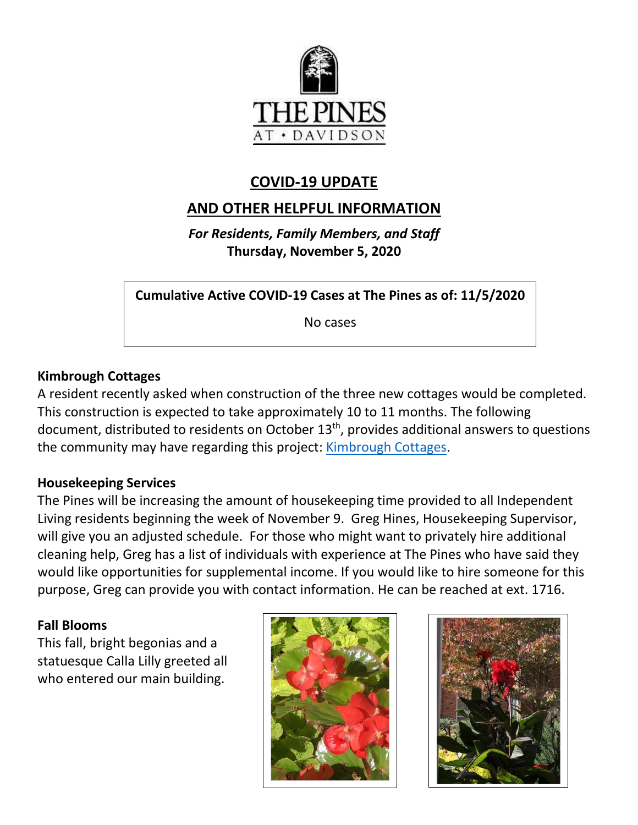

# **COVID-19 UPDATE**

# **AND OTHER HELPFUL INFORMATION**

*For Residents, Family Members, and Staff* **Thursday, November 5, 2020**

**Cumulative Active COVID-19 Cases at The Pines as of: 11/5/2020**

No cases

### **Kimbrough Cottages**

A resident recently asked when construction of the three new cottages would be completed. This construction is expected to take approximately 10 to 11 months. The following document, distributed to residents on October 13th, provides additional answers to questions the community may have regarding this project: [Kimbrough Cottages.](https://www.mycommunity-center.com/filephotos/463/Kimbrough%20Cottages%20Memo%20and%20Exhibits%2010%2013%2020%20revised%201219%20pm.pdf)

#### **Housekeeping Services**

The Pines will be increasing the amount of housekeeping time provided to all Independent Living residents beginning the week of November 9. Greg Hines, Housekeeping Supervisor, will give you an adjusted schedule. For those who might want to privately hire additional cleaning help, Greg has a list of individuals with experience at The Pines who have said they would like opportunities for supplemental income. If you would like to hire someone for this purpose, Greg can provide you with contact information. He can be reached at ext. 1716.

#### **Fall Blooms**

This fall, bright begonias and a statuesque Calla Lilly greeted all who entered our main building.



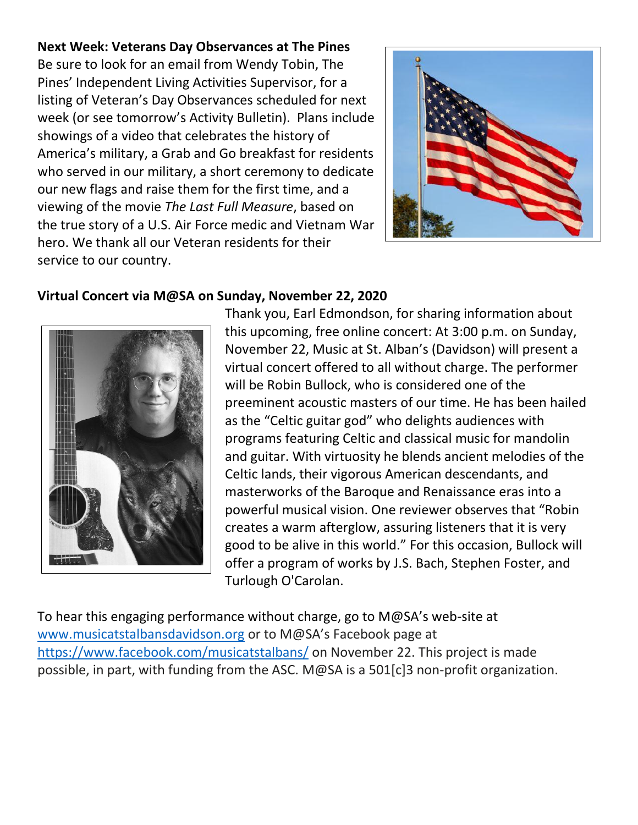## **Next Week: Veterans Day Observances at The Pines**

Be sure to look for an email from Wendy Tobin, The Pines' Independent Living Activities Supervisor, for a listing of Veteran's Day Observances scheduled for next week (or see tomorrow's Activity Bulletin). Plans include showings of a video that celebrates the history of America's military, a Grab and Go breakfast for residents who served in our military, a short ceremony to dedicate our new flags and raise them for the first time, and a viewing of the movie *The Last Full Measure*, based on the true story of a U.S. Air Force medic and Vietnam War hero. We thank all our Veteran residents for their service to our country.



## **Virtual Concert via M@SA on Sunday, November 22, 2020**



Thank you, Earl Edmondson, for sharing information about this upcoming, free online concert: At 3:00 p.m. on Sunday, November 22, Music at St. Alban's (Davidson) will present a virtual concert offered to all without charge. The performer will be Robin Bullock, who is considered one of the preeminent acoustic masters of our time. He has been hailed as the "Celtic guitar god" who delights audiences with programs featuring Celtic and classical music for mandolin and guitar. With virtuosity he blends ancient melodies of the Celtic lands, their vigorous American descendants, and masterworks of the Baroque and Renaissance eras into a powerful musical vision. One reviewer observes that "Robin creates a warm afterglow, assuring listeners that it is very good to be alive in this world." For this occasion, Bullock will offer a program of works by J.S. Bach, Stephen Foster, and Turlough O'Carolan.

To hear this engaging performance without charge, go to M@SA's web-site at [www.musicatstalbansdavidson.org](http://www.musicatstalbansdavidson.org/) or to M@SA's Facebook page at <https://www.facebook.com/musicatstalbans/> on November 22. This project is made possible, in part, with funding from the ASC. M@SA is a 501[c]3 non-profit organization.